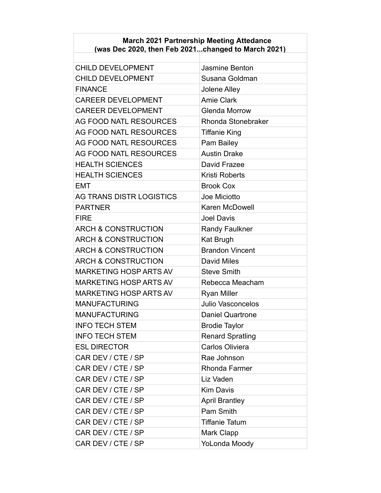#### **March 2021 Partnership Meeting Attedance (was Dec 2020, then Feb 2021...changed to March 2021)**

| <b>CHILD DEVELOPMENT</b>       | <b>Jasmine Benton</b>    |
|--------------------------------|--------------------------|
| <b>CHILD DEVELOPMENT</b>       | Susana Goldman           |
| <b>FINANCE</b>                 | Jolene Alley             |
| <b>CAREER DEVELOPMENT</b>      | <b>Amie Clark</b>        |
| <b>CAREER DEVELOPMENT</b>      | <b>Glenda Morrow</b>     |
| <b>AG FOOD NATL RESOURCES</b>  | Rhonda Stonebraker       |
| AG FOOD NATL RESOURCES         | <b>Tiffanie King</b>     |
| AG FOOD NATL RESOURCES         | Pam Bailey               |
| <b>AG FOOD NATL RESOURCES</b>  | <b>Austin Drake</b>      |
| <b>HEALTH SCIENCES</b>         | David Frazee             |
| <b>HEALTH SCIENCES</b>         | Kristi Roberts           |
| <b>EMT</b>                     | <b>Brook Cox</b>         |
| AG TRANS DISTR LOGISTICS       | Joe Miciotto             |
| <b>PARTNER</b>                 | <b>Karen McDowell</b>    |
| <b>FIRE</b>                    | <b>Joel Davis</b>        |
| <b>ARCH &amp; CONSTRUCTION</b> | <b>Randy Faulkner</b>    |
| <b>ARCH &amp; CONSTRUCTION</b> | <b>Kat Brugh</b>         |
| <b>ARCH &amp; CONSTRUCTION</b> | <b>Brandon Vincent</b>   |
| <b>ARCH &amp; CONSTRUCTION</b> | <b>David Miles</b>       |
| <b>MARKETING HOSP ARTS AV</b>  | <b>Steve Smith</b>       |
| <b>MARKETING HOSP ARTS AV</b>  | Rebecca Meacham          |
| MARKETING HOSP ARTS AV         | <b>Ryan Miller</b>       |
| <b>MANUFACTURING</b>           | <b>Julio Vasconcelos</b> |
| <b>MANUFACTURING</b>           | <b>Daniel Quartrone</b>  |
| <b>INFO TECH STEM</b>          | <b>Brodie Taylor</b>     |
| <b>INFO TECH STEM</b>          | <b>Renard Spratling</b>  |
| <b>ESL DIRECTOR</b>            | Carlos Oliviera          |
| CAR DEV / CTE / SP             | Rae Johnson              |
| CAR DEV / CTE / SP             | Rhonda Farmer            |
| CAR DEV / CTE / SP             | Liz Vaden                |
| CAR DEV / CTE / SP             | <b>Kim Davis</b>         |
| CAR DEV / CTE / SP             | <b>April Brantley</b>    |
| CAR DEV / CTE / SP             | Pam Smith                |
| CAR DEV / CTE / SP             | <b>Tiffanie Tatum</b>    |
| CAR DEV / CTE / SP             | Mark Clapp               |
| CAR DEV / CTE / SP             | YoLonda Moody            |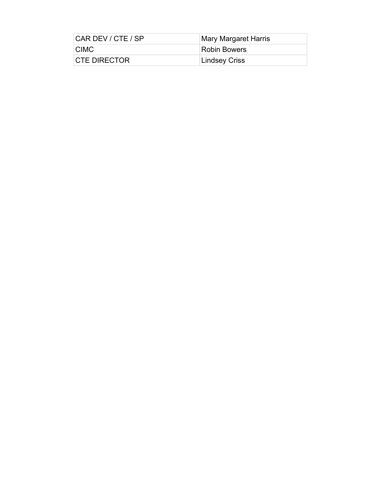| CAR DEV / CTE / SP   | <b>Mary Margaret Harris</b> |
|----------------------|-----------------------------|
| <b>CIMC</b>          | <b>Robin Bowers</b>         |
| <b>ICTE DIRECTOR</b> | <b>Lindsey Criss</b>        |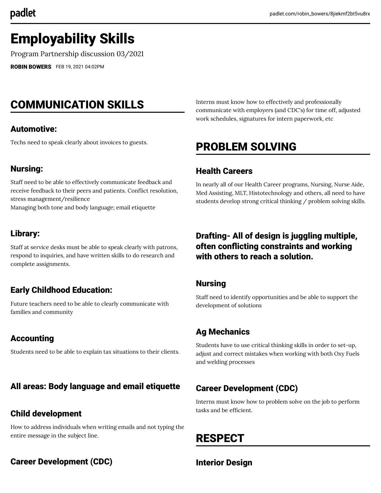# Employability Skills

Program Partnership discussion 03/2021

[ROBIN BOWERS](https://padlet.com/robin_bowers) FEB 19, 2021 04:02PM

# COMMUNICATION SKILLS

#### Automotive:

Techs need to speak clearly about invoices to guests.

#### Nursing:

Staff need to be able to effectively communicate feedback and receive feedback to their peers and patients. Conflict resolution, stress management/resilience

Managing both tone and body language; email etiquette

#### Library:

Staff at service desks must be able to speak clearly with patrons, respond to inquiries, and have written skills to do research and complete assignments.

### Early Childhood Education:

Future teachers need to be able to clearly communicate with families and community

## Accounting

Students need to be able to explain tax situations to their clients.

### All areas: Body language and email etiquette

#### Child development

How to address individuals when writing emails and not typing the entire message in the subject line.

### Career Development (CDC)

Interns must know how to effectively and professionally communicate with employers (and CDC's) for time off, adjusted work schedules, signatures for intern paperwork, etc

## PROBLEM SOLVING

#### Health Careers

In nearly all of our Health Career programs, Nursing, Nurse Aide, Med Assisting, MLT, Histotechnology and others, all need to have students develop strong critical thinking / problem solving skills.

## Drafting- All of design is juggling multiple, often conflicting constraints and working with others to reach a solution.

#### Nursing

Staff need to identify opportunities and be able to support the development of solutions

## Ag Mechanics

Students have to use critical thinking skills in order to set-up, adjust and correct mistakes when working with both Oxy Fuels and welding processes

## Career Development (CDC)

Interns must know how to problem solve on the job to perform tasks and be efficient.

# RESPECT

Interior Design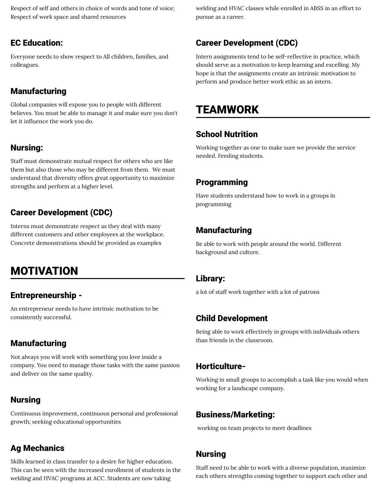Respect of self and others in choice of words and tone of voice; Respect of work space and shared resources

#### EC Education:

Everyone needs to show respect to All children, families, and colleagues.

## Manufacturing

Global companies will expose you to people with different believes. You must be able to manage it and make sure you don't let it influence the work you do.

#### Nursing:

Staff must demonstrate mutual respect for others who are like them but also those who may be different from them. We must understand that diversity offers great opportunity to maximize strengths and perform at a higher level.

## Career Development (CDC)

Interns must demonstrate respect as they deal with many different customers and other employees at the workplace. Concrete demonstrations should be provided as examples

# MOTIVATION

### Entrepreneurship -

An entrepreneur needs to have intrinsic motivation to be consistently successful.

### Manufacturing

Not always you will work with something you love inside a company. You need to manage those tasks with the same passion and deliver on the same quality.

### Nursing

Continuous improvement, continuous personal and professional growth; seeking educational opportunities

### Ag Mechanics

Skills learned in class transfer to a desire for higher education. This can be seen with the increased enrollment of students in the welding and HVAC programs at ACC. Students are now taking

welding and HVAC classes while enrolled in ABSS in an effort to pursue as a career.

## Career Development (CDC)

Intern assignments tend to be self-reflective in practice, which should serve as a motivation to keep learning and excelling. My hope is that the assignments create an intrinsic motivation to perform and produce better work ethic as an intern.

## TEAMWORK

#### School Nutrition

Working together as one to make sure we provide the service needed. Feeding students.

### Programming

Have students understand how to work in a groups in programming

## Manufacturing

Be able to work with people around the world. Different background and culture.

#### Library:

a lot of staff work together with a lot of patrons

#### Child Development

Being able to work effectively in groups with individuals others than friends in the classroom.

#### Horticulture-

Working in small groups to accomplish a task like you would when working for a landscape company.

#### Business/Marketing:

working on team projects to meet deadlines

### Nursing

Staff need to be able to work with a diverse population, maximize each others strengths coming together to support each other and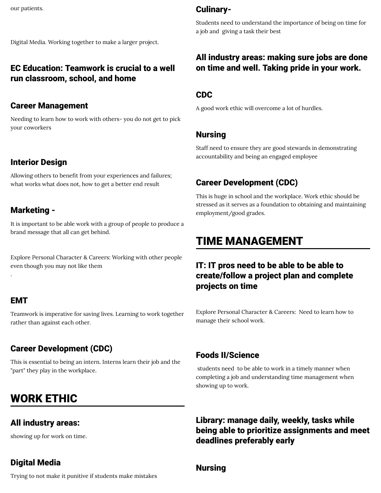Digital Media. Working together to make a larger project.

#### EC Education: Teamwork is crucial to a well run classroom, school, and home

#### Career Management

Needing to learn how to work with others- you do not get to pick your coworkers

#### Interior Design

Allowing others to benefit from your experiences and failures; what works what does not, how to get a better end result

#### Marketing -

It is important to be able work with a group of people to produce a brand message that all can get behind.

Explore Personal Character & Careers: Working with other people even though you may not like them

#### EMT

.

Teamwork is imperative for saving lives. Learning to work together rather than against each other.

### Career Development (CDC)

This is essential to being an intern. Interns learn their job and the "part" they play in the workplace.

# WORK ETHIC

#### All industry areas:

showing up for work on time.

#### Digital Media

Trying to not make it punitive if students make mistakes

### Culinary-

Students need to understand the importance of being on time for a job and giving a task their best

#### All industry areas: making sure jobs are done on time and well. Taking pride in your work.

#### CDC

A good work ethic will overcome a lot of hurdles.

#### Nursing

Staff need to ensure they are good stewards in demonstrating accountability and being an engaged employee

## Career Development (CDC)

This is huge in school and the workplace. Work ethic should be stressed as it serves as a foundation to obtaining and maintaining employment/good grades.

## TIME MANAGEMENT

### IT: IT pros need to be able to be able to create/follow a project plan and complete projects on time

Explore Personal Character & Careers: Need to learn how to manage their school work.

#### Foods II/Science

students need to be able to work in a timely manner when completing a job and understanding time management when showing up to work.

Library: manage daily, weekly, tasks while being able to prioritize assignments and meet deadlines preferably early

#### Nursing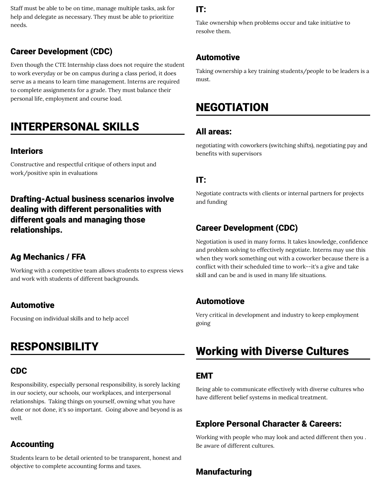Staff must be able to be on time, manage multiple tasks, ask for help and delegate as necessary. They must be able to prioritize needs.

### Career Development (CDC)

Even though the CTE Internship class does not require the student to work everyday or be on campus during a class period, it does serve as a means to learn time management. Interns are required to complete assignments for a grade. They must balance their personal life, employment and course load.

## INTERPERSONAL SKILLS

#### Interiors

Constructive and respectful critique of others input and work/positive spin in evaluations

## Drafting-Actual business scenarios involve dealing with different personalities with different goals and managing those relationships.

#### Ag Mechanics / FFA

Working with a competitive team allows students to express views and work with students of different backgrounds.

### Automotive

Focusing on individual skills and to help accel

## RESPONSIBILITY

### CDC

Responsibility, especially personal responsibility, is sorely lacking in our society, our schools, our workplaces, and interpersonal relationships. Taking things on yourself, owning what you have done or not done, it's so important. Going above and beyond is as well.

### Accounting

Students learn to be detail oriented to be transparent, honest and objective to complete accounting forms and taxes.

## IT:

Take ownership when problems occur and take initiative to resolve them.

## Automotive

Taking ownership a key training students/people to be leaders is a must.

## NEGOTIATION

#### All areas:

negotiating with coworkers (switching shifts), negotiating pay and benefits with supervisors

#### IT:

Negotiate contracts with clients or internal partners for projects and funding

## Career Development (CDC)

Negotiation is used in many forms. It takes knowledge, confidence and problem solving to effectively negotiate. Interns may use this when they work something out with a coworker because there is a conflict with their scheduled time to work--it's a give and take skill and can be and is used in many life situations.

### Automotiove

Very critical in development and industry to keep employment going

# Working with Diverse Cultures

### EMT

Being able to communicate effectively with diverse cultures who have different belief systems in medical treatment.

## Explore Personal Character & Careers:

Working with people who may look and acted different then you . Be aware of different cultures.

## **Manufacturing**